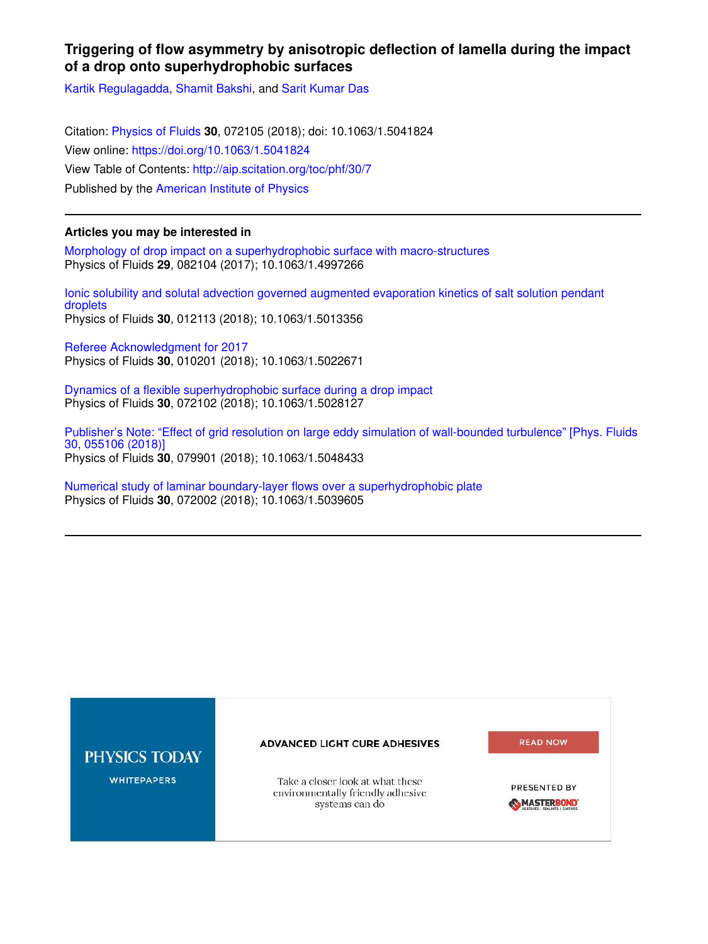## **Triggering of flow asymmetry by anisotropic deflection of lamella during the impact of a drop onto superhydrophobic surfaces**

Kartik Regulagadda, Shamit Bakshi, and Sarit Kumar Das

Citation: Physics of Fluids **30**, 072105 (2018); doi: 10.1063/1.5041824 View online: https://doi.org/10.1063/1.5041824 View Table of Contents: http://aip.scitation.org/toc/phf/30/7 Published by the American Institute of Physics

## **Articles you may be interested in**

Morphology of drop impact on a superhydrophobic surface with macro-structures Physics of Fluids **29**, 082104 (2017); 10.1063/1.4997266

Ionic solubility and solutal advection governed augmented evaporation kinetics of salt solution pendant droplets Physics of Fluids **30**, 012113 (2018); 10.1063/1.5013356

Referee Acknowledgment for 2017 Physics of Fluids **30**, 010201 (2018); 10.1063/1.5022671

Dynamics of a flexible superhydrophobic surface during a drop impact Physics of Fluids **30**, 072102 (2018); 10.1063/1.5028127

Publisher's Note: "Effect of grid resolution on large eddy simulation of wall-bounded turbulence" [Phys. Fluids 30, 055106 (2018)] Physics of Fluids **30**, 079901 (2018); 10.1063/1.5048433

Numerical study of laminar boundary-layer flows over a superhydrophobic plate Physics of Fluids **30**, 072002 (2018); 10.1063/1.5039605

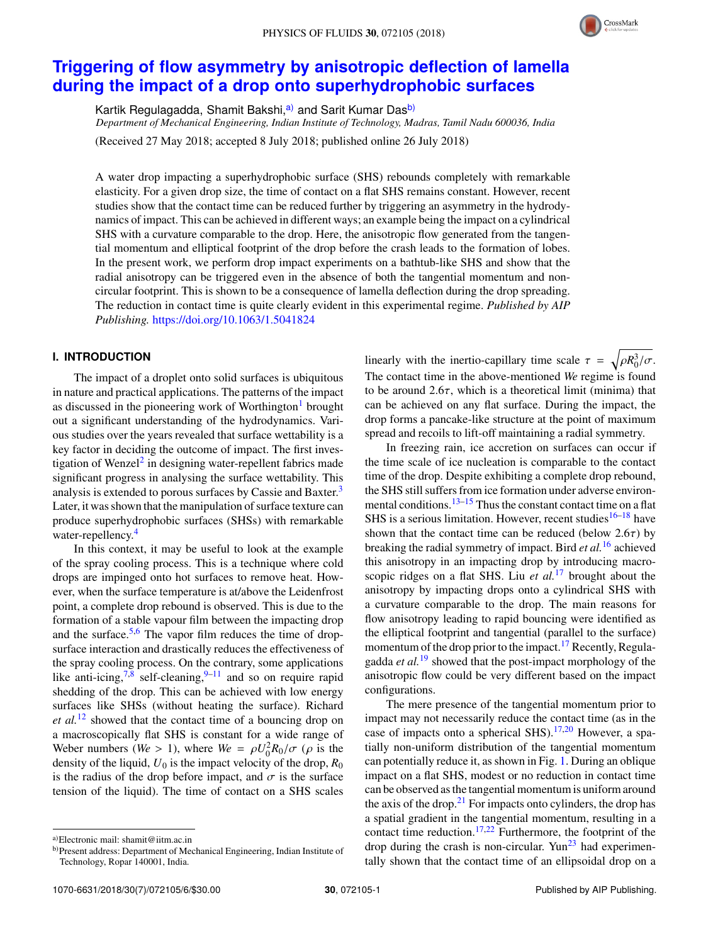

# **Triggering of flow asymmetry by anisotropic deflection of lamella during the impact of a drop onto superhydrophobic surfaces**

Kartik Regulagadda, Shamit Bakshi,<sup>a)</sup> and Sarit Kumar Das<sup>b)</sup>

*Department of Mechanical Engineering, Indian Institute of Technology, Madras, Tamil Nadu 600036, India*

(Received 27 May 2018; accepted 8 July 2018; published online 26 July 2018)

A water drop impacting a superhydrophobic surface (SHS) rebounds completely with remarkable elasticity. For a given drop size, the time of contact on a flat SHS remains constant. However, recent studies show that the contact time can be reduced further by triggering an asymmetry in the hydrodynamics of impact. This can be achieved in different ways; an example being the impact on a cylindrical SHS with a curvature comparable to the drop. Here, the anisotropic flow generated from the tangential momentum and elliptical footprint of the drop before the crash leads to the formation of lobes. In the present work, we perform drop impact experiments on a bathtub-like SHS and show that the radial anisotropy can be triggered even in the absence of both the tangential momentum and noncircular footprint. This is shown to be a consequence of lamella deflection during the drop spreading. The reduction in contact time is quite clearly evident in this experimental regime. *Published by AIP Publishing.* https://doi.org/10.1063/1.5041824

## **I. INTRODUCTION**

The impact of a droplet onto solid surfaces is ubiquitous in nature and practical applications. The patterns of the impact as discussed in the pioneering work of Worthington<sup>1</sup> brought out a significant understanding of the hydrodynamics. Various studies over the years revealed that surface wettability is a key factor in deciding the outcome of impact. The first investigation of Wenzel<sup>2</sup> in designing water-repellent fabrics made significant progress in analysing the surface wettability. This analysis is extended to porous surfaces by Cassie and Baxter.<sup>3</sup> Later, it was shown that the manipulation of surface texture can produce superhydrophobic surfaces (SHSs) with remarkable water-repellency.<sup>4</sup>

In this context, it may be useful to look at the example of the spray cooling process. This is a technique where cold drops are impinged onto hot surfaces to remove heat. However, when the surface temperature is at/above the Leidenfrost point, a complete drop rebound is observed. This is due to the formation of a stable vapour film between the impacting drop and the surface. $5.6$  The vapor film reduces the time of dropsurface interaction and drastically reduces the effectiveness of the spray cooling process. On the contrary, some applications like anti-icing,<sup>7,8</sup> self-cleaning,<sup>9–11</sup> and so on require rapid shedding of the drop. This can be achieved with low energy surfaces like SHSs (without heating the surface). Richard *et al.*<sup>12</sup> showed that the contact time of a bouncing drop on a macroscopically flat SHS is constant for a wide range of Weber numbers (*We* > 1), where  $W_e = \rho U_0^2 R_0 / \sigma$  ( $\rho$  is the density of the liquid,  $U_0$  is the impact velocity of the drop,  $R_0$ is the radius of the drop before impact, and  $\sigma$  is the surface tension of the liquid). The time of contact on a SHS scales

linearly with the inertio-capillary time scale  $\tau = \sqrt{\rho R_0^3/\sigma}$ . The contact time in the above-mentioned *We* regime is found to be around  $2.6\tau$ , which is a theoretical limit (minima) that can be achieved on any flat surface. During the impact, the drop forms a pancake-like structure at the point of maximum spread and recoils to lift-off maintaining a radial symmetry.

In freezing rain, ice accretion on surfaces can occur if the time scale of ice nucleation is comparable to the contact time of the drop. Despite exhibiting a complete drop rebound, the SHS still suffers from ice formation under adverse environmental conditions. $13-15$  Thus the constant contact time on a flat SHS is a serious limitation. However, recent studies $16-18$  have shown that the contact time can be reduced (below  $2.6\tau$ ) by breaking the radial symmetry of impact. Bird *et al.*<sup>16</sup> achieved this anisotropy in an impacting drop by introducing macroscopic ridges on a flat SHS. Liu *et al.*<sup>17</sup> brought about the anisotropy by impacting drops onto a cylindrical SHS with a curvature comparable to the drop. The main reasons for flow anisotropy leading to rapid bouncing were identified as the elliptical footprint and tangential (parallel to the surface) momentum of the drop prior to the impact.<sup>17</sup> Recently, Regulagadda *et al.*<sup>19</sup> showed that the post-impact morphology of the anisotropic flow could be very different based on the impact configurations.

The mere presence of the tangential momentum prior to impact may not necessarily reduce the contact time (as in the case of impacts onto a spherical SHS).<sup>17,20</sup> However, a spatially non-uniform distribution of the tangential momentum can potentially reduce it, as shown in Fig. 1. During an oblique impact on a flat SHS, modest or no reduction in contact time can be observed as the tangential momentum is uniform around the axis of the drop. $2<sup>1</sup>$  For impacts onto cylinders, the drop has a spatial gradient in the tangential momentum, resulting in a contact time reduction. $17,22$  Furthermore, the footprint of the drop during the crash is non-circular. Yun<sup>23</sup> had experimentally shown that the contact time of an ellipsoidal drop on a

a)Electronic mail: shamit@iitm.ac.in

b)Present address: Department of Mechanical Engineering, Indian Institute of Technology, Ropar 140001, India.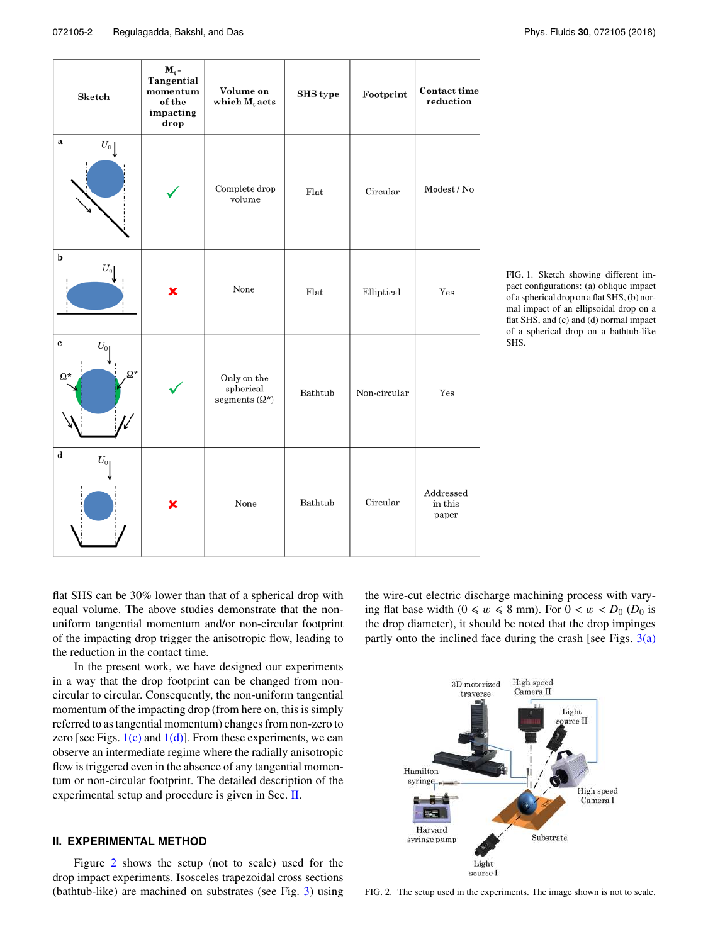| Sketch                                         | $M_t$ -<br>Tangential<br>momentum<br>of the<br>impacting<br>drop | Volume on<br>which $M_t$ acts                     | SHS type | Footprint    | $\bf {Context}$ time<br>reduction |
|------------------------------------------------|------------------------------------------------------------------|---------------------------------------------------|----------|--------------|-----------------------------------|
| a<br>$U_{\scriptscriptstyle 0} \big\downarrow$ |                                                                  | Complete drop<br>volume                           | Flat     | Circular     | Modest / No                       |
| b<br>$U_0$                                     | ×                                                                | None                                              | Flat     | Elliptical   | Yes                               |
| $\bf c$<br>$U_{0}$<br>$\Omega^*$<br>$\Omega^*$ |                                                                  | Only on the<br>spherical<br>segments $(\Omega^*)$ | Bathtub  | Non-circular | Yes                               |
| $\mathbf d$<br>$U_{0}$                         | ×                                                                | None                                              | Bathtub  | Circular     | Addressed<br>in this<br>paper     |

FIG. 1. Sketch showing different impact configurations: (a) oblique impact of a spherical drop on a flat SHS, (b) normal impact of an ellipsoidal drop on a flat SHS, and (c) and (d) normal impact of a spherical drop on a bathtub-like SHS.

flat SHS can be 30% lower than that of a spherical drop with equal volume. The above studies demonstrate that the nonuniform tangential momentum and/or non-circular footprint of the impacting drop trigger the anisotropic flow, leading to the reduction in the contact time.

In the present work, we have designed our experiments in a way that the drop footprint can be changed from noncircular to circular. Consequently, the non-uniform tangential momentum of the impacting drop (from here on, this is simply referred to as tangential momentum) changes from non-zero to zero [see Figs.  $1(c)$  and  $1(d)$ ]. From these experiments, we can observe an intermediate regime where the radially anisotropic flow is triggered even in the absence of any tangential momentum or non-circular footprint. The detailed description of the experimental setup and procedure is given in Sec. II.

## **II. EXPERIMENTAL METHOD**

Figure 2 shows the setup (not to scale) used for the drop impact experiments. Isosceles trapezoidal cross sections (bathtub-like) are machined on substrates (see Fig. 3) using

the wire-cut electric discharge machining process with varying flat base width  $(0 \le w \le 8 \text{ mm})$ . For  $0 < w < D_0$  ( $D_0$  is the drop diameter), it should be noted that the drop impinges partly onto the inclined face during the crash [see Figs.  $3(a)$ ]



FIG. 2. The setup used in the experiments. The image shown is not to scale.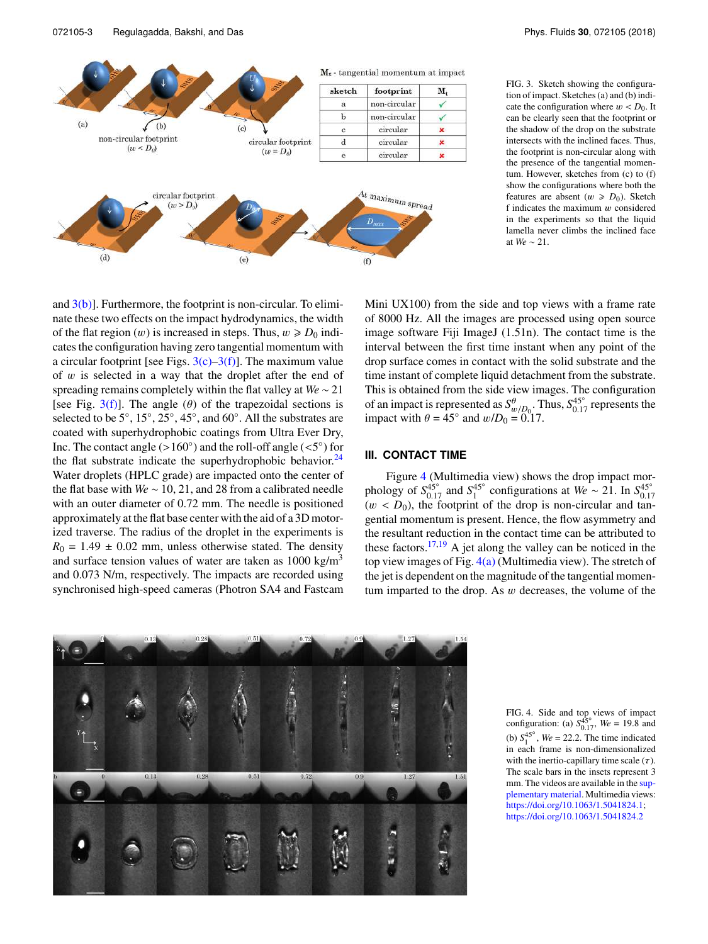and  $3(b)$ ]. Furthermore, the footprint is non-circular. To eliminate these two effects on the impact hydrodynamics, the width of the flat region  $(w)$  is increased in steps. Thus,  $w \ge D_0$  indicates the configuration having zero tangential momentum with a circular footprint [see Figs.  $3(c)$ – $3(f)$ ]. The maximum value of  $w$  is selected in a way that the droplet after the end of spreading remains completely within the flat valley at *We* ∼ 21 [see Fig. 3(f)]. The angle ( $\theta$ ) of the trapezoidal sections is selected to be  $5^\circ$ ,  $15^\circ$ ,  $25^\circ$ ,  $45^\circ$ , and  $60^\circ$ . All the substrates are coated with superhydrophobic coatings from Ultra Ever Dry, Inc. The contact angle (>160 $^{\circ}$ ) and the roll-off angle (<5 $^{\circ}$ ) for the flat substrate indicate the superhydrophobic behavior. $^{24}$ Water droplets (HPLC grade) are impacted onto the center of the flat base with *We* ∼ 10, 21, and 28 from a calibrated needle with an outer diameter of 0.72 mm. The needle is positioned approximately at the flat base center with the aid of a 3D motorized traverse. The radius of the droplet in the experiments is  $R_0 = 1.49 \pm 0.02$  mm, unless otherwise stated. The density and surface tension values of water are taken as  $1000 \text{ kg/m}^3$ and 0.073 N/m, respectively. The impacts are recorded using synchronised high-speed cameras (Photron SA4 and Fastcam

Mini UX100) from the side and top views with a frame rate of 8000 Hz. All the images are processed using open source image software Fiji ImageJ (1.51n). The contact time is the interval between the first time instant when any point of the drop surface comes in contact with the solid substrate and the time instant of complete liquid detachment from the substrate. This is obtained from the side view images. The configuration of an impact is represented as  $S_{w/D_0}^{\theta}$ . Thus,  $S_{0.17}^{45}$  represents the impact with  $\theta = 45^\circ$  and  $w/D_0 = 0.17$ .

### **III. CONTACT TIME**

Figure 4 (Multimedia view) shows the drop impact morphology of  $S_{0.17}^{45\degree}$  and  $S_1^{45\degree}$  configurations at  $W_e \sim 21$ . In  $S_{0.17}^{45\degree}$  $(w < D_0)$ , the footprint of the drop is non-circular and tangential momentum is present. Hence, the flow asymmetry and the resultant reduction in the contact time can be attributed to these factors.<sup>17,19</sup> A jet along the valley can be noticed in the top view images of Fig.  $4(a)$  (Multimedia view). The stretch of the jet is dependent on the magnitude of the tangential momentum imparted to the drop. As  $w$  decreases, the volume of the

> FIG. 4. Side and top views of impact configuration: (a)  $S_{0.17}^{45\degree}$ , *We* = 19.8 and (b)  $S_1^{45^\circ}$ , *We* = 22.2. The time indicated in each frame is non-dimensionalized with the inertio-capillary time scale  $(\tau)$ . The scale bars in the insets represent 3 mm. The videos are available in the supplementary material. Multimedia views: https://doi.org/10.1063/1.5041824.1; https://doi.org/10.1063/1.5041824.2

FIG. 3. Sketch showing the configuration of impact. Sketches (a) and (b) indicate the configuration where  $w < D_0$ . It can be clearly seen that the footprint or the shadow of the drop on the substrate





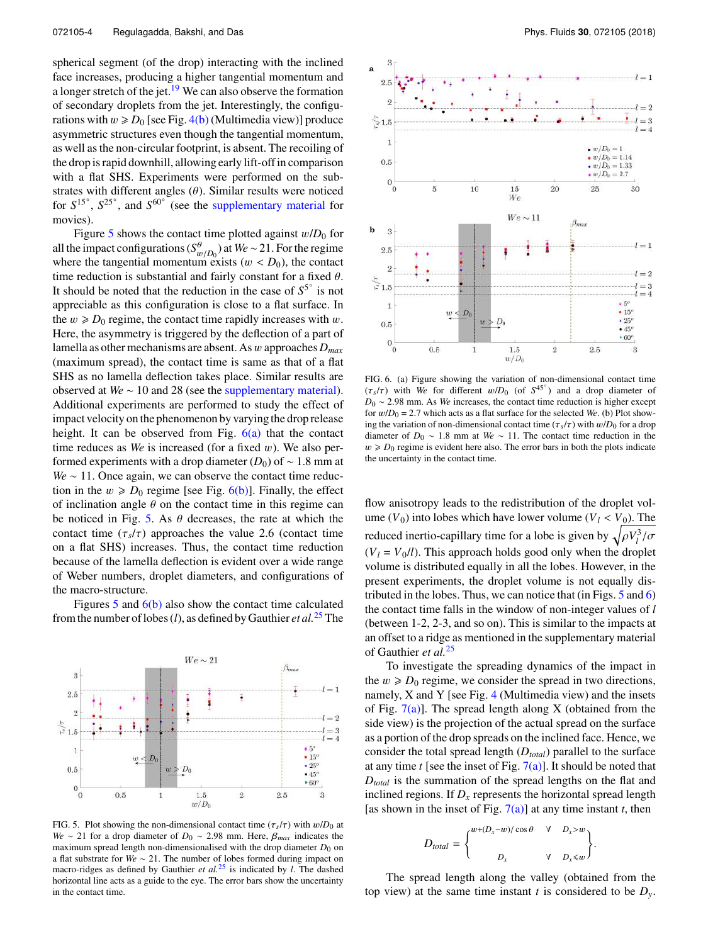spherical segment (of the drop) interacting with the inclined face increases, producing a higher tangential momentum and a longer stretch of the jet. $19$  We can also observe the formation of secondary droplets from the jet. Interestingly, the configurations with  $w \ge D_0$  [see Fig. 4(b) (Multimedia view)] produce asymmetric structures even though the tangential momentum, as well as the non-circular footprint, is absent. The recoiling of the drop is rapid downhill, allowing early lift-off in comparison with a flat SHS. Experiments were performed on the substrates with different angles  $(\theta)$ . Similar results were noticed for  $S^{15}$ <sup>c</sup>,  $S^{25}$ <sup>c</sup>, and  $S^{60}$ <sup>c</sup> (see the supplementary material for movies).

Figure 5 shows the contact time plotted against  $w/D_0$  for all the impact configurations ( $S_{w/D_0}^{\theta}$ ) at *We* ∼ 21. For the regime where the tangential momentum exists  $(w < D_0)$ , the contact time reduction is substantial and fairly constant for a fixed  $\theta$ . It should be noted that the reduction in the case of  $S^5$ <sup>°</sup> is not appreciable as this configuration is close to a flat surface. In the  $w \ge D_0$  regime, the contact time rapidly increases with w. Here, the asymmetry is triggered by the deflection of a part of lamella as other mechanisms are absent. As w approaches *Dmax* (maximum spread), the contact time is same as that of a flat SHS as no lamella deflection takes place. Similar results are observed at *We* ∼ 10 and 28 (see the supplementary material). Additional experiments are performed to study the effect of impact velocity on the phenomenon by varying the drop release height. It can be observed from Fig.  $6(a)$  that the contact time reduces as *We* is increased (for a fixed w). We also performed experiments with a drop diameter  $(D_0)$  of ~ 1.8 mm at *We* ∼ 11. Once again, we can observe the contact time reduction in the  $w \ge D_0$  regime [see Fig. 6(b)]. Finally, the effect of inclination angle  $\theta$  on the contact time in this regime can be noticed in Fig. 5. As  $\theta$  decreases, the rate at which the contact time  $(\tau_s/\tau)$  approaches the value 2.6 (contact time on a flat SHS) increases. Thus, the contact time reduction because of the lamella deflection is evident over a wide range of Weber numbers, droplet diameters, and configurations of the macro-structure.

Figures 5 and 6(b) also show the contact time calculated from the number of lobes (*l*), as defined by Gauthier *et al.*<sup>25</sup> The



FIG. 5. Plot showing the non-dimensional contact time  $(\tau_s/\tau)$  with  $w/D_0$  at *We* ∼ 21 for a drop diameter of *D*<sub>0</sub> ∼ 2.98 mm. Here,  $\beta_{max}$  indicates the maximum spread length non-dimensionalised with the drop diameter  $D_0$  on a flat substrate for *We* ∼ 21. The number of lobes formed during impact on macro-ridges as defined by Gauthier *et al.*<sup>25</sup> is indicated by *l*. The dashed horizontal line acts as a guide to the eye. The error bars show the uncertainty in the contact time.



FIG. 6. (a) Figure showing the variation of non-dimensional contact time ( $\tau_s/\tau$ ) with *We* for different  $w/D_0$  (of  $S^{45^\circ}$ ) and a drop diameter of *D*<sub>0</sub> ∼ 2.98 mm. As *We* increases, the contact time reduction is higher except for  $w/D_0 = 2.7$  which acts as a flat surface for the selected *We*. (b) Plot showing the variation of non-dimensional contact time ( $\tau_s/\tau$ ) with  $w/D_0$  for a drop diameter of *D*<sup>0</sup> ∼ 1.8 mm at *We* ∼ 11. The contact time reduction in the  $w \ge D_0$  regime is evident here also. The error bars in both the plots indicate the uncertainty in the contact time.

flow anisotropy leads to the redistribution of the droplet volume  $(V_0)$  into lobes which have lower volume  $(V_l < V_0)$ . The reduced inertio-capillary time for a lobe is given by  $\sqrt{\rho V_l^3/\sigma}$  $(V_l = V_0/l)$ . This approach holds good only when the droplet volume is distributed equally in all the lobes. However, in the present experiments, the droplet volume is not equally distributed in the lobes. Thus, we can notice that (in Figs.  $5$  and  $6$ ) the contact time falls in the window of non-integer values of *l* (between 1-2, 2-3, and so on). This is similar to the impacts at an offset to a ridge as mentioned in the supplementary material of Gauthier *et al.*<sup>25</sup>

To investigate the spreading dynamics of the impact in the  $w \ge D_0$  regime, we consider the spread in two directions, namely, X and Y [see Fig. 4 (Multimedia view) and the insets of Fig.  $7(a)$ ]. The spread length along X (obtained from the side view) is the projection of the actual spread on the surface as a portion of the drop spreads on the inclined face. Hence, we consider the total spread length (*Dtotal*) parallel to the surface at any time *t* [see the inset of Fig. 7(a)]. It should be noted that *Dtotal* is the summation of the spread lengths on the flat and inclined regions. If  $D<sub>x</sub>$  represents the horizontal spread length [as shown in the inset of Fig.  $7(a)$ ] at any time instant *t*, then

$$
D_{total} = \begin{cases} w + (D_x - w) / \cos \theta & \forall \quad D_x > w \\ D_x & \forall \quad D_x \le w \end{cases}
$$

.

The spread length along the valley (obtained from the top view) at the same time instant *t* is considered to be  $D_y$ .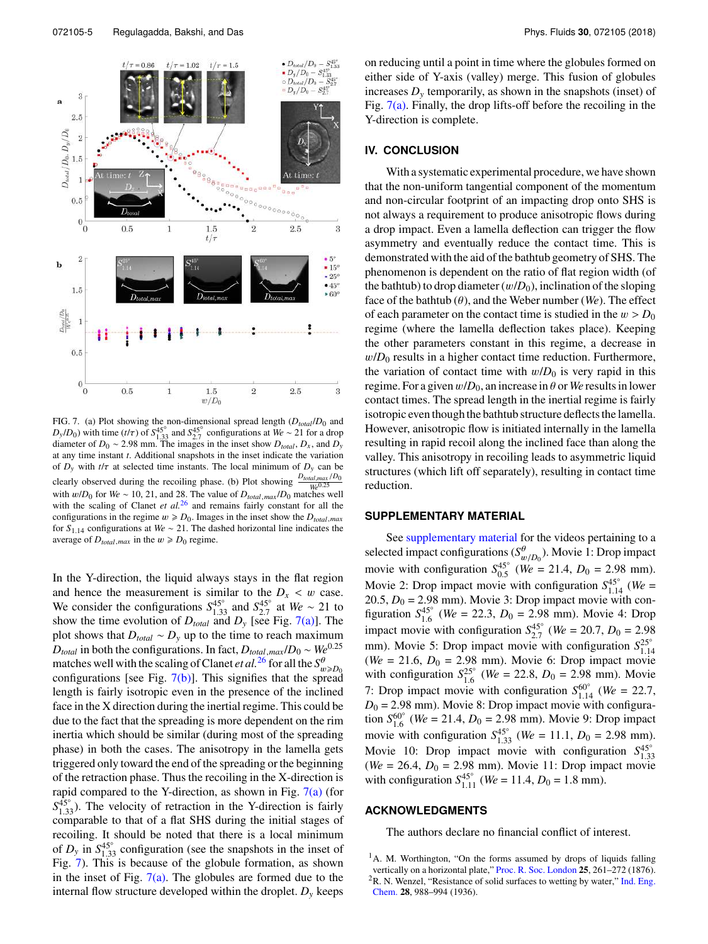

FIG. 7. (a) Plot showing the non-dimensional spread length  $(D_{total}/D_0$  and  $D_y/D_0$ ) with time (t/ $\tau$ ) of  $S_{1,33}^{45}$  and  $S_{2,7}^{45}$  configurations at  $We \sim 21$  for a drop<br>diameter of  $D_0 \sim 2.98$  mm. The images in the inset show  $D_{total}$ ,  $D_x$ , and  $D_y$ at any time instant *t*. Additional snapshots in the inset indicate the variation of  $D_y$  with  $t/\tau$  at selected time instants. The local minimum of  $D_y$  can be clearly observed during the recoiling phase. (b) Plot showing  $\frac{D_{total,max}/D_0}{We^{0.25}}$ with w/*D*<sub>0</sub> for *We* ~ 10, 21, and 28. The value of  $D_{total, max}/D_0$  matches well with the scaling of Clanet *et al.*<sup>26</sup> and remains fairly constant for all the configurations in the regime  $w \ge D_0$ . Images in the inset show the  $D_{total,max}$ for *S*1.14 configurations at *We* ∼ 21. The dashed horizontal line indicates the average of  $D_{total,max}$  in the  $w \ge D_0$  regime.

In the Y-direction, the liquid always stays in the flat region and hence the measurement is similar to the  $D_x < w$  case. We consider the configurations  $S_{1,33}^{45^\circ}$  and  $S_{2,7}^{45^\circ}$  at  $W_e \sim 21$  to show the time evolution of  $D_{total}$  and  $D_y$  [see Fig. 7(a)]. The plot shows that  $D_{total} \sim D_y$  up to the time to reach maximum  $D_{total}$  in both the configurations. In fact,  $D_{total,max}/D_0 \sim We^{0.25}$ matches well with the scaling of Clanet *et al.*<sup>26</sup> for all the  $S^{\theta}_{w \geq D_0}$ configurations [see Fig.  $7(b)$ ]. This signifies that the spread length is fairly isotropic even in the presence of the inclined face in the X direction during the inertial regime. This could be due to the fact that the spreading is more dependent on the rim inertia which should be similar (during most of the spreading phase) in both the cases. The anisotropy in the lamella gets triggered only toward the end of the spreading or the beginning of the retraction phase. Thus the recoiling in the X-direction is rapid compared to the Y-direction, as shown in Fig.  $7(a)$  (for  $S_{1,33}^{45^\circ}$ ). The velocity of retraction in the Y-direction is fairly comparable to that of a flat SHS during the initial stages of recoiling. It should be noted that there is a local minimum of  $D_y$  in  $S_{1,33}^{45^\circ}$  configuration (see the snapshots in the inset of Fig. 7). This is because of the globule formation, as shown in the inset of Fig.  $7(a)$ . The globules are formed due to the internal flow structure developed within the droplet.  $D<sub>y</sub>$  keeps

on reducing until a point in time where the globules formed on either side of Y-axis (valley) merge. This fusion of globules increases  $D<sub>v</sub>$  temporarily, as shown in the snapshots (inset) of Fig.  $7(a)$ . Finally, the drop lifts-off before the recoiling in the Y-direction is complete.

#### **IV. CONCLUSION**

With a systematic experimental procedure, we have shown that the non-uniform tangential component of the momentum and non-circular footprint of an impacting drop onto SHS is not always a requirement to produce anisotropic flows during a drop impact. Even a lamella deflection can trigger the flow asymmetry and eventually reduce the contact time. This is demonstrated with the aid of the bathtub geometry of SHS. The phenomenon is dependent on the ratio of flat region width (of the bathtub) to drop diameter  $(w/D_0)$ , inclination of the sloping face of the bathtub  $(\theta)$ , and the Weber number (*We*). The effect of each parameter on the contact time is studied in the  $w > D_0$ regime (where the lamella deflection takes place). Keeping the other parameters constant in this regime, a decrease in  $w/D_0$  results in a higher contact time reduction. Furthermore, the variation of contact time with  $w/D_0$  is very rapid in this regime. For a given  $w/D_0$ , an increase in  $\theta$  or *We* results in lower contact times. The spread length in the inertial regime is fairly isotropic even though the bathtub structure deflects the lamella. However, anisotropic flow is initiated internally in the lamella resulting in rapid recoil along the inclined face than along the valley. This anisotropy in recoiling leads to asymmetric liquid structures (which lift off separately), resulting in contact time reduction.

#### **SUPPLEMENTARY MATERIAL**

See supplementary material for the videos pertaining to a selected impact configurations ( $S^{\theta}_{w/D_0}$ ). Movie 1: Drop impact movie with configuration  $S_{0.5}^{45\degree}$  (*We* = 21.4, *D*<sub>0</sub> = 2.98 mm). Movie 2: Drop impact movie with configuration  $S_{1.14}^{45^\circ}$  (*We* = 20.5,  $D_0 = 2.98$  mm). Movie 3: Drop impact movie with configuration  $S_{1.6}^{45\degree}$  (*We* = 22.3, *D*<sub>0</sub> = 2.98 mm). Movie 4: Drop impact movie with configuration  $S_{2.7}^{45\degree}$  (*We* = 20.7, *D*<sub>0</sub> = 2.98 mm). Movie 5: Drop impact movie with configuration  $S_{1,14}^{25}$ <sup>o</sup> (*We* = 21.6, *D*<sup>0</sup> = 2.98 mm). Movie 6: Drop impact movie with configuration  $S_{1.6}^{25\degree}$  (*We* = 22.8, *D*<sub>0</sub> = 2.98 mm). Movie 7: Drop impact movie with configuration  $S_{1.14}^{60^\circ}$  (*We* = 22.7,  $D_0 = 2.98$  mm). Movie 8: Drop impact movie with configuration  $S_{1.6}^{60\degree}$  (*We* = 21.4, *D*<sub>0</sub> = 2.98 mm). Movie 9: Drop impact movie with configuration  $S_{1.33}^{45\degree}$  (*We* = 11.1, *D*<sub>0</sub> = 2.98 mm). Movie 10: Drop impact movie with configuration  $S_{1,33}^{45\degree}$ (*We* = 26.4, *D*<sup>0</sup> = 2.98 mm). Movie 11: Drop impact movie with configuration  $S_{1.11}^{45\degree}$  (*We* = 11.4, *D*<sub>0</sub> = 1.8 mm).

#### **ACKNOWLEDGMENTS**

The authors declare no financial conflict of interest.

<sup>&</sup>lt;sup>1</sup>A. M. Worthington, "On the forms assumed by drops of liquids falling vertically on a horizontal plate," Proc. R. Soc. London **25**, 261–272 (1876). <sup>2</sup>R. N. Wenzel, "Resistance of solid surfaces to wetting by water," Ind. Eng. Chem. **28**, 988–994 (1936).